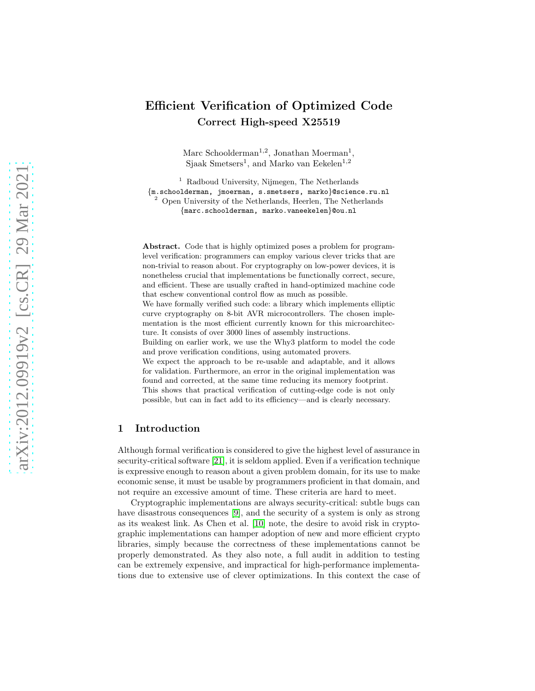# Efficient Verification of Optimized Code Correct High-speed X25519

Marc Schoolderman<sup>1,2</sup>, Jonathan Moerman<sup>1</sup>, Sjaak Smetsers<sup>1</sup>, and Marko van Eekelen<sup>1,2</sup>

<sup>1</sup> Radboud University, Nijmegen, The Netherlands {m.schoolderman, jmoerman, s.smetsers, marko}@science.ru.nl <sup>2</sup> Open University of the Netherlands, Heerlen, The Netherlands {marc.schoolderman, marko.vaneekelen}@ou.nl

Abstract. Code that is highly optimized poses a problem for programlevel verification: programmers can employ various clever tricks that are non-trivial to reason about. For cryptography on low-power devices, it is nonetheless crucial that implementations be functionally correct, secure, and efficient. These are usually crafted in hand-optimized machine code that eschew conventional control flow as much as possible.

We have formally verified such code: a library which implements elliptic curve cryptography on 8-bit AVR microcontrollers. The chosen implementation is the most efficient currently known for this microarchitecture. It consists of over 3000 lines of assembly instructions.

Building on earlier work, we use the Why3 platform to model the code and prove verification conditions, using automated provers.

We expect the approach to be re-usable and adaptable, and it allows for validation. Furthermore, an error in the original implementation was found and corrected, at the same time reducing its memory footprint. This shows that practical verification of cutting-edge code is not only possible, but can in fact add to its efficiency—and is clearly necessary.

### 1 Introduction

Although formal verification is considered to give the highest level of assurance in security-critical software [\[21\]](#page-16-0), it is seldom applied. Even if a verification technique is expressive enough to reason about a given problem domain, for its use to make economic sense, it must be usable by programmers proficient in that domain, and not require an excessive amount of time. These criteria are hard to meet.

Cryptographic implementations are always security-critical: subtle bugs can have disastrous consequences [\[9\]](#page-15-0), and the security of a system is only as strong as its weakest link. As Chen et al. [\[10\]](#page-15-1) note, the desire to avoid risk in cryptographic implementations can hamper adoption of new and more efficient crypto libraries, simply because the correctness of these implementations cannot be properly demonstrated. As they also note, a full audit in addition to testing can be extremely expensive, and impractical for high-performance implementations due to extensive use of clever optimizations. In this context the case of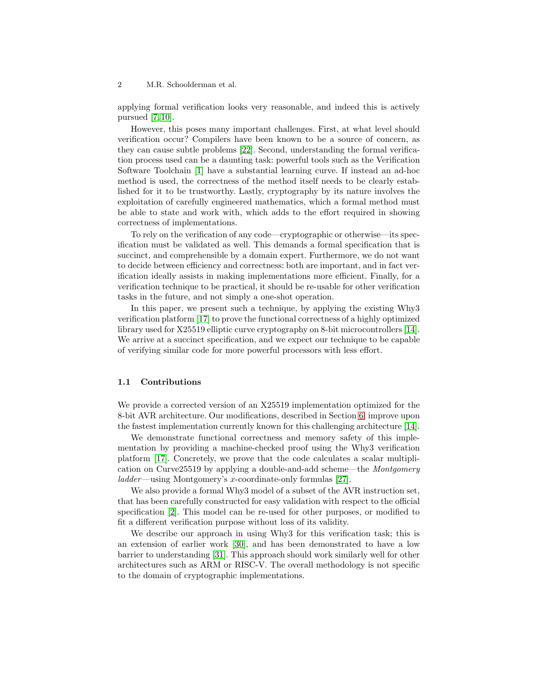applying formal verification looks very reasonable, and indeed this is actively pursued  $[7, 10]$  $[7, 10]$ .

However, this poses many important challenges. First, at what level should verification occur? Compilers have been known to be a source of concern, as they can cause subtle problems [\[22\]](#page-16-1). Second, understanding the formal verification process used can be a daunting task: powerful tools such as the Verification Software Toolchain [\[1\]](#page-15-3) have a substantial learning curve. If instead an ad-hoc method is used, the correctness of the method itself needs to be clearly established for it to be trustworthy. Lastly, cryptography by its nature involves the exploitation of carefully engineered mathematics, which a formal method must be able to state and work with, which adds to the effort required in showing correctness of implementations.

To rely on the verification of any code—cryptographic or otherwise—its specification must be validated as well. This demands a formal specification that is succinct, and comprehensible by a domain expert. Furthermore, we do not want to decide between efficiency and correctness: both are important, and in fact verification ideally assists in making implementations more efficient. Finally, for a verification technique to be practical, it should be re-usable for other verification tasks in the future, and not simply a one-shot operation.

In this paper, we present such a technique, by applying the existing Why3 verification platform [\[17\]](#page-16-2) to prove the functional correctness of a highly optimized library used for X25519 elliptic curve cryptography on 8-bit microcontrollers [\[14\]](#page-15-4). We arrive at a succinct specification, and we expect our technique to be capable of verifying similar code for more powerful processors with less effort.

#### 1.1 Contributions

We provide a corrected version of an X25519 implementation optimized for the 8-bit AVR architecture. Our modifications, described in Section [6,](#page-12-0) improve upon the fastest implementation currently known for this challenging architecture [\[14\]](#page-15-4).

We demonstrate functional correctness and memory safety of this implementation by providing a machine-checked proof using the Why3 verification platform [\[17\]](#page-16-2). Concretely, we prove that the code calculates a scalar multiplication on Curve25519 by applying a double-and-add scheme—the Montgomery ladder—using Montgomery's x-coordinate-only formulas [\[27\]](#page-16-3).

We also provide a formal Why3 model of a subset of the AVR instruction set, that has been carefully constructed for easy validation with respect to the official specification [\[2\]](#page-15-5). This model can be re-used for other purposes, or modified to fit a different verification purpose without loss of its validity.

We describe our approach in using Why3 for this verification task; this is an extension of earlier work [\[30\]](#page-16-4), and has been demonstrated to have a low barrier to understanding [\[31\]](#page-16-5). This approach should work similarly well for other architectures such as ARM or RISC-V. The overall methodology is not specific to the domain of cryptographic implementations.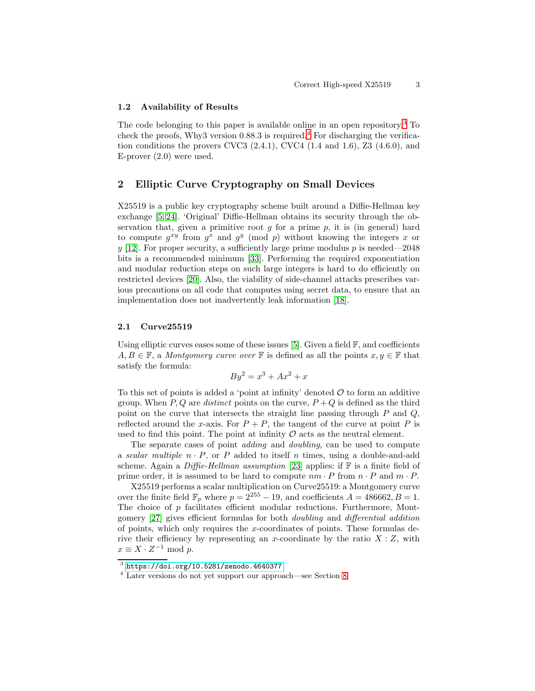### 1.2 Availability of Results

The code belonging to this paper is available online in an open repository. [3](#page-2-0) To check the proofs, Why3 version  $0.88.3$  is required.<sup>[4](#page-2-1)</sup> For discharging the verification conditions the provers CVC3  $(2.4.1)$ , CVC4  $(1.4 \text{ and } 1.6)$ , Z3  $(4.6.0)$ , and E-prover (2.0) were used.

# 2 Elliptic Curve Cryptography on Small Devices

X25519 is a public key cryptography scheme built around a Diffie-Hellman key exchange [\[5,](#page-15-6) [24\]](#page-16-6). 'Original' Diffie-Hellman obtains its security through the observation that, given a primitive root  $g$  for a prime  $p$ , it is (in general) hard to compute  $g^{xy}$  from  $g^x$  and  $g^y$  (mod p) without knowing the integers x or y [\[12\]](#page-15-7). For proper security, a sufficiently large prime modulus  $p$  is needed—2048 bits is a recommended minimum [\[33\]](#page-16-7). Performing the required exponentiation and modular reduction steps on such large integers is hard to do efficiently on restricted devices [\[20\]](#page-16-8). Also, the viability of side-channel attacks prescribes various precautions on all code that computes using secret data, to ensure that an implementation does not inadvertently leak information [\[18\]](#page-16-9).

### <span id="page-2-2"></span>2.1 Curve25519

Using elliptic curves eases some of these issues [\[5\]](#page-15-6). Given a field  $\mathbb{F}$ , and coefficients  $A, B \in \mathbb{F}$ , a *Montgomery curve over*  $\mathbb{F}$  is defined as all the points  $x, y \in \mathbb{F}$  that satisfy the formula:

$$
By^2 = x^3 + Ax^2 + x
$$

To this set of points is added a 'point at infinity' denoted  $\mathcal O$  to form an additive group. When  $P, Q$  are *distinct* points on the curve,  $P + Q$  is defined as the third point on the curve that intersects the straight line passing through  $P$  and  $Q$ , reflected around the x-axis. For  $P + P$ , the tangent of the curve at point P is used to find this point. The point at infinity  $\mathcal O$  acts as the neutral element.

The separate cases of point adding and doubling, can be used to compute a scalar multiple  $n \cdot P$ , or P added to itself n times, using a double-and-add scheme. Again a Diffie-Hellman assumption [\[23\]](#page-16-10) applies: if  $\mathbb F$  is a finite field of prime order, it is assumed to be hard to compute  $nm \cdot P$  from  $n \cdot P$  and  $m \cdot P$ .

X25519 performs a scalar multiplication on Curve25519: a Montgomery curve over the finite field  $\mathbb{F}_p$  where  $p = 2^{255} - 19$ , and coefficients  $A = 486662, B = 1$ . The choice of  $p$  facilitates efficient modular reductions. Furthermore, Montgomery [\[27\]](#page-16-3) gives efficient formulas for both doubling and differential addition of points, which only requires the x-coordinates of points. These formulas derive their efficiency by representing an x-coordinate by the ratio  $X:Z$ , with  $x \equiv X \cdot Z^{-1} \text{ mod } p.$ 

 $^3$  <https://doi.org/10.5281/zenodo.4640377>

<span id="page-2-1"></span><span id="page-2-0"></span><sup>4</sup> Later versions do not yet support our approach—see Section [8](#page-14-0)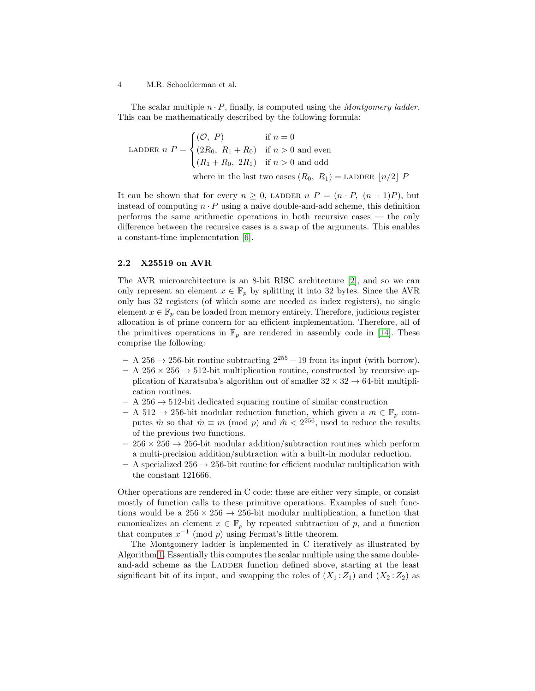The scalar multiple  $n \cdot P$ , finally, is computed using the *Montgomery ladder*. This can be mathematically described by the following formula:

LADDER 
$$
n P = \begin{cases} (O, P) & \text{if } n = 0 \\ (2R_0, R_1 + R_0) & \text{if } n > 0 \text{ and even} \\ (R_1 + R_0, 2R_1) & \text{if } n > 0 \text{ and odd} \end{cases}
$$
  
where in the last two cases  $(R_0, R_1)$  = LADDER  $\lfloor n/2 \rfloor P$ 

It can be shown that for every  $n \geq 0$ , LADDER  $n P = (n \cdot P, (n+1)P)$ , but instead of computing  $n \cdot P$  using a naive double-and-add scheme, this definition performs the same arithmetic operations in both recursive cases — the only difference between the recursive cases is a swap of the arguments. This enables a constant-time implementation [\[6\]](#page-15-8).

### 2.2 X25519 on AVR

The AVR microarchitecture is an 8-bit RISC architecture [\[2\]](#page-15-5), and so we can only represent an element  $x \in \mathbb{F}_p$  by splitting it into 32 bytes. Since the AVR only has 32 registers (of which some are needed as index registers), no single element  $x \in \mathbb{F}_p$  can be loaded from memory entirely. Therefore, judicious register allocation is of prime concern for an efficient implementation. Therefore, all of the primitives operations in  $\mathbb{F}_p$  are rendered in assembly code in [\[14\]](#page-15-4). These comprise the following:

- $A 256 \rightarrow 256$ -bit routine subtracting  $2^{255} 19$  from its input (with borrow).
- $A 256 \times 256 \rightarrow 512$ -bit multiplication routine, constructed by recursive application of Karatsuba's algorithm out of smaller  $32 \times 32 \rightarrow 64$ -bit multiplication routines.
- A 256  $\rightarrow$  512-bit dedicated squaring routine of similar construction
- A 512  $\rightarrow$  256-bit modular reduction function, which given a  $m \in \mathbb{F}_p$  computes  $\hat{m}$  so that  $\hat{m} \equiv m \pmod{p}$  and  $\hat{m} < 2^{256}$ , used to reduce the results of the previous two functions.
- $-256 \times 256 \rightarrow 256$ -bit modular addition/subtraction routines which perform a multi-precision addition/subtraction with a built-in modular reduction.
- $-$  A specialized 256  $\rightarrow$  256-bit routine for efficient modular multiplication with the constant 121666.

Other operations are rendered in C code: these are either very simple, or consist mostly of function calls to these primitive operations. Examples of such functions would be a  $256 \times 256 \rightarrow 256$ -bit modular multiplication, a function that canonicalizes an element  $x \in \mathbb{F}_p$  by repeated subtraction of p, and a function that computes  $x^{-1}$  (mod p) using Fermat's little theorem.

The Montgomery ladder is implemented in C iteratively as illustrated by Algorithm [1.](#page-4-0) Essentially this computes the scalar multiple using the same doubleand-add scheme as the LADDER function defined above, starting at the least significant bit of its input, and swapping the roles of  $(X_1 : Z_1)$  and  $(X_2 : Z_2)$  as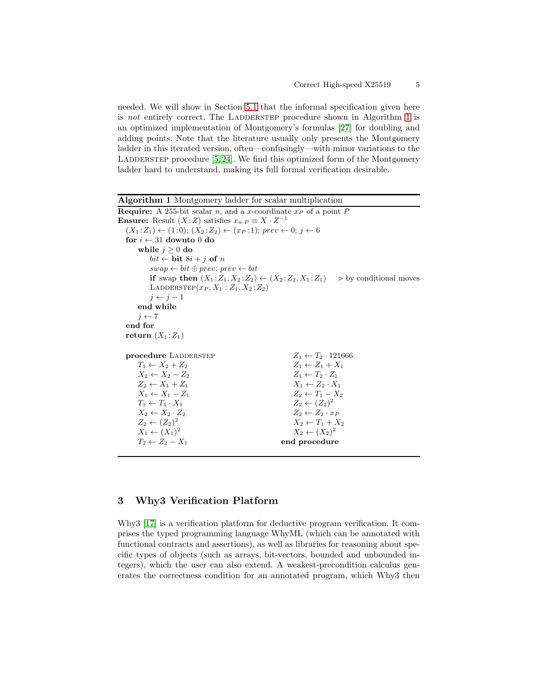needed. We will show in Section [5.1](#page-10-0) that the informal specification given here is not entirely correct. The LADDERSTEP procedure shown in Algorithm [1](#page-4-0) is an optimized implementation of Montgomery's formulas [\[27\]](#page-16-3) for doubling and adding points. Note that the literature usually only presents the Montgomery ladder in this iterated version, often—confusingly—with minor variations to the LADDERSTEP procedure  $[5, 24]$  $[5, 24]$ . We find this optimized form of the Montgomery ladder hard to understand, making its full formal verification desirable.

<span id="page-4-0"></span>

| <b>Algorithm 1</b> Montgomery ladder for scalar multiplication                                |                                                                                                    |
|-----------------------------------------------------------------------------------------------|----------------------------------------------------------------------------------------------------|
| <b>Require:</b> A 255-bit scalar n, and a x-coordinate $x_P$ of a point P                     |                                                                                                    |
| <b>Ensure:</b> Result $(X:Z)$ satisfies $x_{n} \in X \cdot Z^{-1}$                            |                                                                                                    |
| $(X_1:Z_1) \leftarrow (1:0); (X_2:Z_2) \leftarrow (x_P:1); prev \leftarrow 0; j \leftarrow 6$ |                                                                                                    |
| for $i \leftarrow 31$ downto 0 do                                                             |                                                                                                    |
| while $j \geq 0$ do                                                                           |                                                                                                    |
| $bit \leftarrow \mathbf{bit} \; 8i + j \; \mathbf{of} \; n$                                   |                                                                                                    |
| $swap \leftarrow bit \oplus prev; prev \leftarrow bit$                                        |                                                                                                    |
|                                                                                               | if swap then $(X_1:Z_1, X_2:Z_2) \leftarrow (X_2:Z_2, X_1:Z_1)$ $\Rightarrow$ by conditional moves |
| LADDERSTEP $(x_P, X_1 : Z_1, X_2 : Z_2)$                                                      |                                                                                                    |
| $i \leftarrow i-1$                                                                            |                                                                                                    |
| end while                                                                                     |                                                                                                    |
| $i \leftarrow 7$                                                                              |                                                                                                    |
| end for                                                                                       |                                                                                                    |
| return $(X_1:Z_1)$                                                                            |                                                                                                    |
| procedure LADDERSTEP                                                                          | $Z_1 \leftarrow T_2 \cdot 121666$                                                                  |
| $T_1 \leftarrow X_2 + Z_2$                                                                    | $Z_1 \leftarrow Z_1 + X_1$                                                                         |
| $X_2 \leftarrow X_2 - Z_2$                                                                    | $Z_1 \leftarrow T_2 \cdot Z_1$                                                                     |
| $Z_2 \leftarrow X_1 + Z_1$                                                                    | $X_1 \leftarrow Z_2 \cdot X_1$                                                                     |
| $X_1 \leftarrow X_1 - Z_1$                                                                    | $Z_2 \leftarrow T_1 - X_2$                                                                         |
| $T_1 \leftarrow T_1 \cdot X_1$                                                                | $Z_2 \leftarrow (Z_2)^2$                                                                           |
| $X_2 \leftarrow X_2 \cdot Z_2$                                                                | $Z_2 \leftarrow Z_2 \cdot x_P$                                                                     |
| $Z_2 \leftarrow (Z_2)^2$                                                                      | $X_2 \leftarrow T_1 + X_2$                                                                         |
| $X_1 \leftarrow (X_1)^2$                                                                      | $X_2 \leftarrow (X_2)^2$                                                                           |
| $T_2 \leftarrow Z_2 - X_1$                                                                    | end procedure                                                                                      |
|                                                                                               |                                                                                                    |

# 3 Why3 Verification Platform

Why3 [\[17\]](#page-16-2) is a verification platform for deductive program verification. It comprises the typed programming language WhyML (which can be annotated with functional contracts and assertions), as well as libraries for reasoning about specific types of objects (such as arrays, bit-vectors, bounded and unbounded integers), which the user can also extend. A weakest-precondition calculus generates the correctness condition for an annotated program, which Why3 then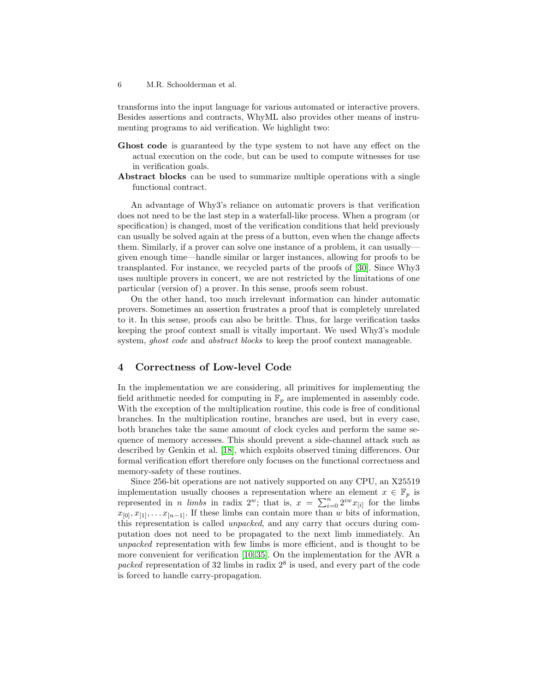transforms into the input language for various automated or interactive provers. Besides assertions and contracts, WhyML also provides other means of instrumenting programs to aid verification. We highlight two:

- Ghost code is guaranteed by the type system to not have any effect on the actual execution on the code, but can be used to compute witnesses for use in verification goals.
- Abstract blocks can be used to summarize multiple operations with a single functional contract.

An advantage of Why3's reliance on automatic provers is that verification does not need to be the last step in a waterfall-like process. When a program (or specification) is changed, most of the verification conditions that held previously can usually be solved again at the press of a button, even when the change affects them. Similarly, if a prover can solve one instance of a problem, it can usually given enough time—handle similar or larger instances, allowing for proofs to be transplanted. For instance, we recycled parts of the proofs of [\[30\]](#page-16-4). Since Why3 uses multiple provers in concert, we are not restricted by the limitations of one particular (version of) a prover. In this sense, proofs seem robust.

On the other hand, too much irrelevant information can hinder automatic provers. Sometimes an assertion frustrates a proof that is completely unrelated to it. In this sense, proofs can also be brittle. Thus, for large verification tasks keeping the proof context small is vitally important. We used Why3's module system, *ghost code* and *abstract blocks* to keep the proof context manageable.

# <span id="page-5-0"></span>4 Correctness of Low-level Code

In the implementation we are considering, all primitives for implementing the field arithmetic needed for computing in  $\mathbb{F}_p$  are implemented in assembly code. With the exception of the multiplication routine, this code is free of conditional branches. In the multiplication routine, branches are used, but in every case, both branches take the same amount of clock cycles and perform the same sequence of memory accesses. This should prevent a side-channel attack such as described by Genkin et al. [\[18\]](#page-16-9), which exploits observed timing differences. Our formal verification effort therefore only focuses on the functional correctness and memory-safety of these routines.

Since 256-bit operations are not natively supported on any CPU, an X25519 implementation usually chooses a representation where an element  $x \in \mathbb{F}_p$  is represented in *n limbs* in radix  $2^w$ ; that is,  $x = \sum_{i=0}^n 2^{iw} x_{[i]}$  for the limbs  $x_{[0]}, x_{[1]}, \ldots, x_{[n-1]}$ . If these limbs can contain more than w bits of information, this representation is called unpacked, and any carry that occurs during computation does not need to be propagated to the next limb immediately. An unpacked representation with few limbs is more efficient, and is thought to be more convenient for verification [\[10,](#page-15-1) [35\]](#page-17-0). On the implementation for the AVR a packed representation of 32 limbs in radix  $2^8$  is used, and every part of the code is forced to handle carry-propagation.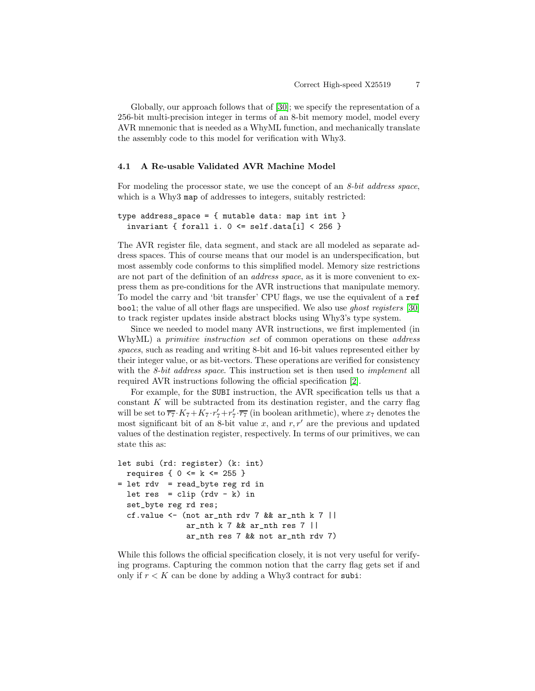Globally, our approach follows that of [\[30\]](#page-16-4); we specify the representation of a 256-bit multi-precision integer in terms of an 8-bit memory model, model every AVR mnemonic that is needed as a WhyML function, and mechanically translate the assembly code to this model for verification with Why3.

### <span id="page-6-0"></span>4.1 A Re-usable Validated AVR Machine Model

For modeling the processor state, we use the concept of an *8-bit address space*, which is a Why3 map of addresses to integers, suitably restricted:

```
type address_space = { mutable data: map int int }
  invariant { forall i. 0 \leq self.data[i] \leq 256 }
```
The AVR register file, data segment, and stack are all modeled as separate address spaces. This of course means that our model is an underspecification, but most assembly code conforms to this simplified model. Memory size restrictions are not part of the definition of an address space, as it is more convenient to express them as pre-conditions for the AVR instructions that manipulate memory. To model the carry and 'bit transfer' CPU flags, we use the equivalent of a ref bool; the value of all other flags are unspecified. We also use ghost registers [\[30\]](#page-16-4) to track register updates inside abstract blocks using Why3's type system.

Since we needed to model many AVR instructions, we first implemented (in WhyML) a *primitive instruction set* of common operations on these *address* spaces, such as reading and writing 8-bit and 16-bit values represented either by their integer value, or as bit-vectors. These operations are verified for consistency with the *8-bit address space*. This instruction set is then used to *implement* all required AVR instructions following the official specification [\[2\]](#page-15-5).

For example, for the SUBI instruction, the AVR specification tells us that a constant  $K$  will be subtracted from its destination register, and the carry flag will be set to  $\overline{r_7} \cdot K_7 + K_7 \cdot r_7' + r_7' \cdot \overline{r_7}$  (in boolean arithmetic), where  $x_7$  denotes the most significant bit of an 8-bit value x, and  $r, r'$  are the previous and updated values of the destination register, respectively. In terms of our primitives, we can state this as:

```
let subi (rd: register) (k: int)
  requires \{ 0 \le k \le 255 \}= let rdv = read_byte reg rd in
  let res = clip (rdv - k) in
  set_byte reg rd res;
  cf.value \leq (not ar_nth rdv 7 && ar_nth k 7 ||
               ar_nth k 7 && ar_nth res 7 ||
               ar_nth res 7 && not ar_nth rdv 7)
```
While this follows the official specification closely, it is not very useful for verifying programs. Capturing the common notion that the carry flag gets set if and only if  $r < K$  can be done by adding a Why3 contract for subi: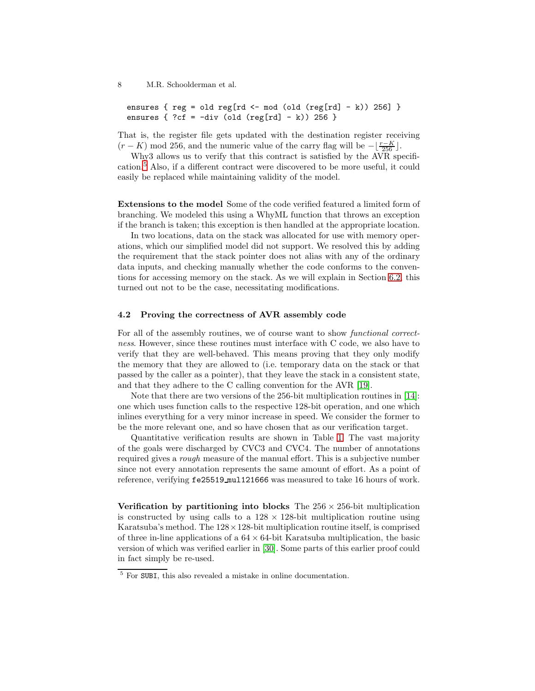```
ensures { reg = old reg[rd <- mod (old (reg[rd] - k)) 256] }
ensures \{ \text{?cf} = -div (\text{old (reg[rd] - k)}) \text{ 256 } \}
```
That is, the register file gets updated with the destination register receiving  $(r - K)$  mod 256, and the numeric value of the carry flag will be  $-\lfloor \frac{r-K}{256} \rfloor$ .

Why3 allows us to verify that this contract is satisfied by the AVR specification.[5](#page-7-0) Also, if a different contract were discovered to be more useful, it could easily be replaced while maintaining validity of the model.

Extensions to the model Some of the code verified featured a limited form of branching. We modeled this using a WhyML function that throws an exception if the branch is taken; this exception is then handled at the appropriate location.

In two locations, data on the stack was allocated for use with memory operations, which our simplified model did not support. We resolved this by adding the requirement that the stack pointer does not alias with any of the ordinary data inputs, and checking manually whether the code conforms to the conventions for accessing memory on the stack. As we will explain in Section [6.2,](#page-12-1) this turned out not to be the case, necessitating modifications.

#### 4.2 Proving the correctness of AVR assembly code

For all of the assembly routines, we of course want to show functional correctness. However, since these routines must interface with C code, we also have to verify that they are well-behaved. This means proving that they only modify the memory that they are allowed to (i.e. temporary data on the stack or that passed by the caller as a pointer), that they leave the stack in a consistent state, and that they adhere to the C calling convention for the AVR [\[19\]](#page-16-11).

Note that there are two versions of the 256-bit multiplication routines in [\[14\]](#page-15-4): one which uses function calls to the respective 128-bit operation, and one which inlines everything for a very minor increase in speed. We consider the former to be the more relevant one, and so have chosen that as our verification target.

Quantitative verification results are shown in Table [1.](#page-8-0) The vast majority of the goals were discharged by CVC3 and CVC4. The number of annotations required gives a rough measure of the manual effort. This is a subjective number since not every annotation represents the same amount of effort. As a point of reference, verifying fe25519 mul121666 was measured to take 16 hours of work.

Verification by partitioning into blocks The  $256 \times 256$ -bit multiplication is constructed by using calls to a  $128 \times 128$ -bit multiplication routine using Karatsuba's method. The  $128 \times 128$ -bit multiplication routine itself, is comprised of three in-line applications of a  $64 \times 64$ -bit Karatsuba multiplication, the basic version of which was verified earlier in [\[30\]](#page-16-4). Some parts of this earlier proof could in fact simply be re-used.

<span id="page-7-0"></span><sup>5</sup> For SUBI, this also revealed a mistake in online documentation.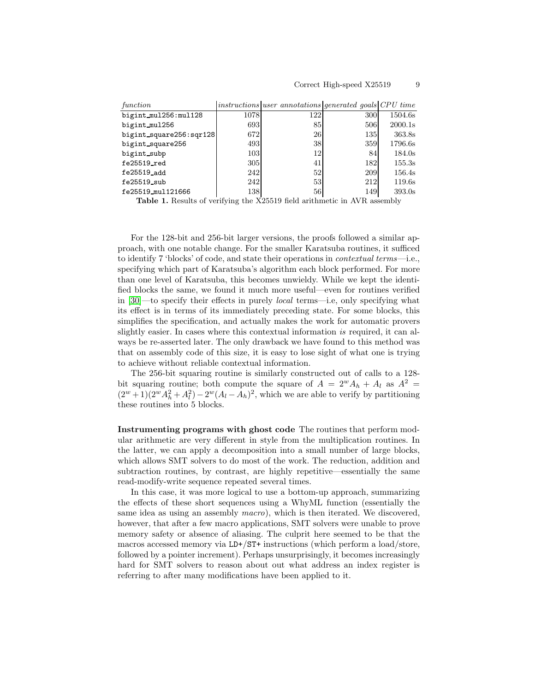| function                |      | instructions user annotations generated goals CPU time |     |         |
|-------------------------|------|--------------------------------------------------------|-----|---------|
| bigint_mul256:mul128    | 1078 | 122                                                    | 300 | 1504.6s |
| bigint_mul256           | 693  | 85                                                     | 506 | 2000.1s |
| bigint_square256:sqr128 | 672  | <b>26</b>                                              | 135 | 363.8s  |
| bigint_square256        | 493  | 38                                                     | 359 | 1796.6s |
| bigint subp             | 103  | 12                                                     | 84  | 184.0s  |
| $fe25519$ $red$         | 305  | 41                                                     | 182 | 155.3s  |
| fe25519_add             | 242  | 52                                                     | 209 | 156.4s  |
| $fe25519$ sub           | 242  | 53                                                     | 212 | 119.6s  |
| fe25519_mul121666       | 138  | 56                                                     | 149 | 393.0s  |

<span id="page-8-0"></span>Table 1. Results of verifying the X25519 field arithmetic in AVR assembly

For the 128-bit and 256-bit larger versions, the proofs followed a similar approach, with one notable change. For the smaller Karatsuba routines, it sufficed to identify 7 'blocks' of code, and state their operations in contextual terms—i.e., specifying which part of Karatsuba's algorithm each block performed. For more than one level of Karatsuba, this becomes unwieldy. While we kept the identified blocks the same, we found it much more useful—even for routines verified in [\[30\]](#page-16-4)—to specify their effects in purely local terms—i.e, only specifying what its effect is in terms of its immediately preceding state. For some blocks, this simplifies the specification, and actually makes the work for automatic provers slightly easier. In cases where this contextual information is required, it can always be re-asserted later. The only drawback we have found to this method was that on assembly code of this size, it is easy to lose sight of what one is trying to achieve without reliable contextual information.

The 256-bit squaring routine is similarly constructed out of calls to a 128 bit squaring routine; both compute the square of  $A = 2^w A_h + A_l$  as  $A^2 =$  $(2^w + 1)(2^w + A_h^2) - 2^w(A_l - A_h)^2$ , which we are able to verify by partitioning these routines into 5 blocks.

Instrumenting programs with ghost code The routines that perform modular arithmetic are very different in style from the multiplication routines. In the latter, we can apply a decomposition into a small number of large blocks, which allows SMT solvers to do most of the work. The reduction, addition and subtraction routines, by contrast, are highly repetitive—essentially the same read-modify-write sequence repeated several times.

In this case, it was more logical to use a bottom-up approach, summarizing the effects of these short sequences using a WhyML function (essentially the same idea as using an assembly macro), which is then iterated. We discovered, however, that after a few macro applications, SMT solvers were unable to prove memory safety or absence of aliasing. The culprit here seemed to be that the macros accessed memory via LD+/ST+ instructions (which perform a load/store, followed by a pointer increment). Perhaps unsurprisingly, it becomes increasingly hard for SMT solvers to reason about out what address an index register is referring to after many modifications have been applied to it.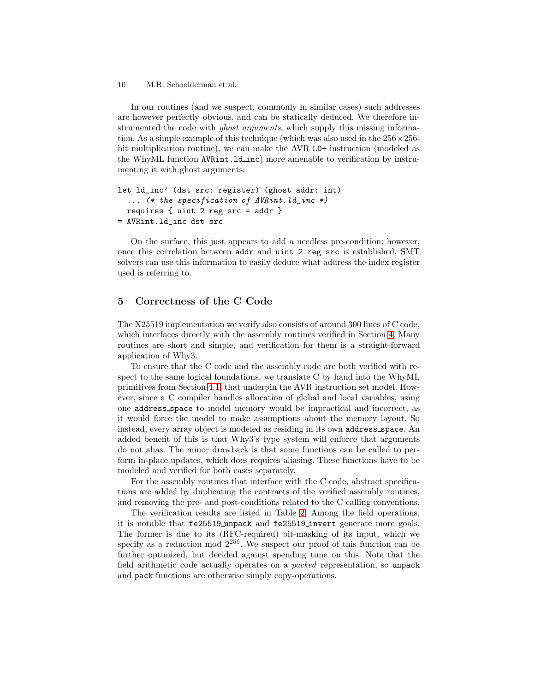In our routines (and we suspect, commonly in similar cases) such addresses are however perfectly obvious, and can be statically deduced. We therefore instrumented the code with *ghost arguments*, which supply this missing information. As a simple example of this technique (which was also used in the  $256 \times 256$ bit multiplication routine), we can make the AVR LD+ instruction (modeled as the WhyML function AVRint.ld inc) more amenable to verification by instrumenting it with ghost arguments:

```
let ld_inc' (dst src: register) (ghost addr: int)
  \ldots (* the specification of AVRint. ld_inc *)
 requires { uint 2 reg src = addr }
= AVRint.ld_inc dst src
```
On the surface, this just appears to add a needless pre-condition; however, once this correlation between addr and uint 2 reg src is established, SMT solvers can use this information to easily deduce what address the index register used is referring to.

## <span id="page-9-0"></span>5 Correctness of the C Code

The X25519 implementation we verify also consists of around 300 lines of C code, which interfaces directly with the assembly routines verified in Section [4.](#page-5-0) Many routines are short and simple, and verification for them is a straight-forward application of Why3.

To ensure that the C code and the assembly code are both verified with respect to the same logical foundations, we translate C by hand into the WhyML primitives from Section [4.1,](#page-6-0) that underpin the AVR instruction set model. However, since a C compiler handles allocation of global and local variables, using one address space to model memory would be impractical and incorrect, as it would force the model to make assumptions about the memory layout. So instead, every array object is modeled as residing in its own address space. An added benefit of this is that Why3's type system will enforce that arguments do not alias. The minor drawback is that some functions can be called to perform in-place updates, which does requires aliasing. These functions have to be modeled and verified for both cases separately.

For the assembly routines that interface with the C code, abstract specifications are added by duplicating the contracts of the verified assembly routines, and removing the pre- and post-conditions related to the C calling conventions.

The verification results are listed in Table [2.](#page-10-1) Among the field operations, it is notable that fe25519 unpack and fe25519 invert generate more goals. The former is due to its (RFC-required) bit-masking of its input, which we specify as a reduction mod  $2^{255}$ . We suspect our proof of this function can be further optimized, but decided against spending time on this. Note that the field arithmetic code actually operates on a packed representation, so unpack and pack functions are otherwise simply copy-operations.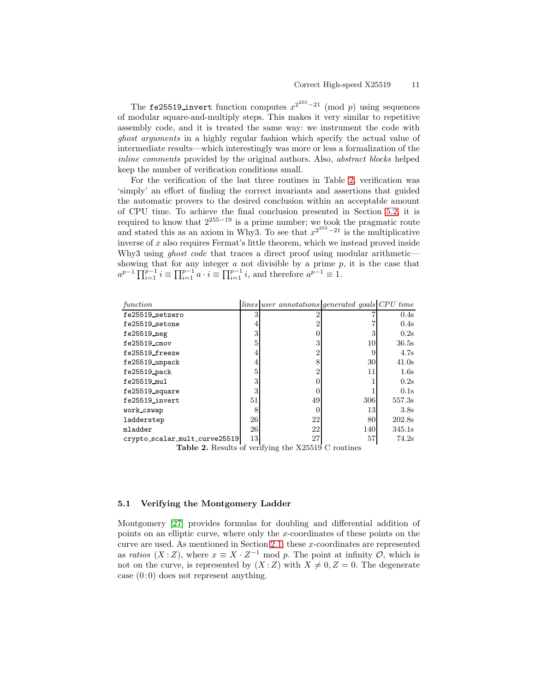The fe25519\_invert function computes  $x^{2^{255}-21}$  (mod p) using sequences of modular square-and-multiply steps. This makes it very similar to repetitive assembly code, and it is treated the same way: we instrument the code with ghost arguments in a highly regular fashion which specify the actual value of intermediate results—which interestingly was more or less a formalization of the inline comments provided by the original authors. Also, abstract blocks helped keep the number of verification conditions small.

For the verification of the last three routines in Table [2,](#page-10-1) verification was 'simply' an effort of finding the correct invariants and assertions that guided the automatic provers to the desired conclusion within an acceptable amount of CPU time. To achieve the final conclusion presented in Section [5.2,](#page-11-0) it is required to know that  $2^{255-19}$  is a prime number; we took the pragmatic route and stated this as an axiom in Why3. To see that  $x^{2^{255}-21}$  is the multiplicative inverse of  $x$  also requires Fermat's little theorem, which we instead proved inside Why3 using *ghost code* that traces a direct proof using modular arithmetic showing that for any integer  $a$  not divisible by a prime  $p$ , it is the case that  $a^{p-1} \prod_{i=1}^{p-1} i \equiv \prod_{i=1}^{p-1} a \cdot i \equiv \prod_{i=1}^{p-1} i$ , and therefore  $a^{p-1} \equiv 1$ .

| function                      |        | lines user annotations generated goals CPU time |     |        |
|-------------------------------|--------|-------------------------------------------------|-----|--------|
| fe25519_setzero               | 3      |                                                 |     | 0.4s   |
| fe25519_setone                | 4      |                                                 |     | 0.4s   |
| fe25519_neg                   | 3      |                                                 | 3   | 0.2s   |
| $fe25519$ _ $cmov$            | 5      |                                                 | 10  | 36.5s  |
| fe25519_freeze                | 4      |                                                 | 9   | 4.7s   |
| fe25519_unpack                | 4      |                                                 | 30  | 41.0s  |
| fe25519 pack                  | 5      |                                                 | 11  | 1.6s   |
| fe25519_mul                   | 3      |                                                 |     | 0.2s   |
| fe25519_square                | 3      |                                                 |     | 0.1s   |
| fe25519_invert                | 51     | 49                                              | 306 | 557.3s |
| work cswap                    | 8      |                                                 | 13  | 3.8s   |
| ladderstep                    | 26     | 22                                              | 80  | 202.8s |
| mladder                       | 26     | 22                                              | 140 | 345.1s |
| crypto_scalar_mult_curve25519 | $13\,$ | 27                                              | 57  | 74.2s  |

<span id="page-10-1"></span>Table 2. Results of verifying the X25519 C routines

### <span id="page-10-0"></span>5.1 Verifying the Montgomery Ladder

Montgomery [\[27\]](#page-16-3) provides formulas for doubling and differential addition of points on an elliptic curve, where only the x-coordinates of these points on the curve are used. As mentioned in Section [2.1,](#page-2-2) these x-coordinates are represented as ratios  $(X:Z)$ , where  $x \equiv X \cdot Z^{-1}$  mod p. The point at infinity  $\mathcal{O}$ , which is not on the curve, is represented by  $(X:Z)$  with  $X \neq 0, Z = 0$ . The degenerate case  $(0:0)$  does not represent anything.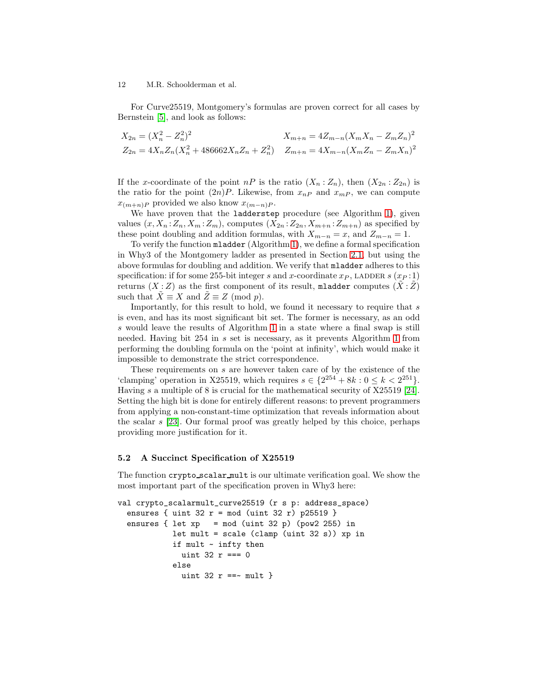For Curve25519, Montgomery's formulas are proven correct for all cases by Bernstein [\[5\]](#page-15-6), and look as follows:

$$
X_{2n} = (X_n^2 - Z_n^2)^2
$$
  
\n
$$
Z_{2n} = 4X_n Z_n (X_n^2 + 486662X_n Z_n + Z_n^2)
$$
  
\n
$$
Z_{m+n} = 4Z_{m-n} (X_m X_n - Z_m Z_n)^2
$$
  
\n
$$
Z_{m+n} = 4X_{m-n} (X_m Z_n - Z_m X_n)^2
$$

If the x-coordinate of the point  $nP$  is the ratio  $(X_n:Z_n)$ , then  $(X_{2n}:Z_{2n})$  is the ratio for the point  $(2n)P$ . Likewise, from  $x_{nP}$  and  $x_{mP}$ , we can compute  $x_{(m+n)P}$  provided we also know  $x_{(m-n)P}$ .

We have proven that the ladderstep procedure (see Algorithm [1\)](#page-4-0), given values  $(x, X_n : Z_n, X_m : Z_m)$ , computes  $(X_{2n} : Z_{2n}, X_{m+n} : Z_{m+n})$  as specified by these point doubling and addition formulas, with  $X_{m-n} = x$ , and  $Z_{m-n} = 1$ .

To verify the function mladder (Algorithm [1\)](#page-4-0), we define a formal specification in Why3 of the Montgomery ladder as presented in Section [2.1,](#page-2-2) but using the above formulas for doubling and addition. We verify that mladder adheres to this specification: if for some 255-bit integer s and x-coordinate  $x_P$ , LADDER s  $(x_P:1)$ returns  $(X:Z)$  as the first component of its result, mladder computes  $(X:Z)$ such that  $X \equiv X$  and  $Z \equiv Z \pmod{p}$ .

Importantly, for this result to hold, we found it necessary to require that  $s$ is even, and has its most significant bit set. The former is necessary, as an odd s would leave the results of Algorithm [1](#page-4-0) in a state where a final swap is still needed. Having bit 254 in s set is necessary, as it prevents Algorithm [1](#page-4-0) from performing the doubling formula on the 'point at infinity', which would make it impossible to demonstrate the strict correspondence.

These requirements on s are however taken care of by the existence of the 'clamping' operation in X25519, which requires  $s \in \{2^{254} + 8k : 0 \le k < 2^{251}\}.$ Having s a multiple of 8 is crucial for the mathematical security of X25519 [\[24\]](#page-16-6). Setting the high bit is done for entirely different reasons: to prevent programmers from applying a non-constant-time optimization that reveals information about the scalar s [\[23\]](#page-16-10). Our formal proof was greatly helped by this choice, perhaps providing more justification for it.

### <span id="page-11-0"></span>5.2 A Succinct Specification of X25519

The function crypto scalar mult is our ultimate verification goal. We show the most important part of the specification proven in Why3 here:

```
val crypto_scalarmult_curve25519 (r s p: address_space)
  ensures \{ uint 32 r = mod (uint 32 r) p25519 \}ensures \{ let xp = mod (uint 32 p) (pow2 255) in
            let mult = scale (clamp (uint 32 s) xp in
            if mult ~ infty then
             uint 32 r == 0else
              uint 32 r ==~ mult }
```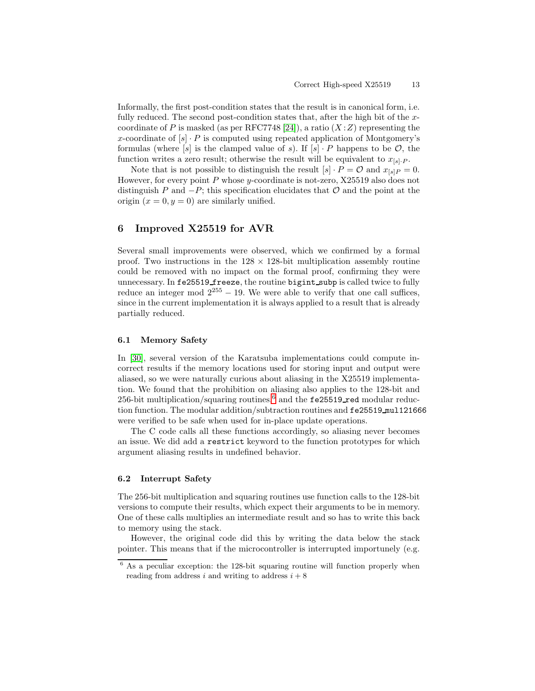Informally, the first post-condition states that the result is in canonical form, i.e. fully reduced. The second post-condition states that, after the high bit of the x-coordinate of P is masked (as per RFC7748 [\[24\]](#page-16-6)), a ratio  $(X:Z)$  representing the x-coordinate of  $[s] \cdot P$  is computed using repeated application of Montgomery's formulas (where  $[s]$  is the clamped value of s). If  $[s] \cdot P$  happens to be  $\mathcal{O}$ , the function writes a zero result; otherwise the result will be equivalent to  $x_{[s]_i,P}$ .

Note that is not possible to distinguish the result  $[s] \cdot P = \mathcal{O}$  and  $x_{[s]} = 0$ . However, for every point  $P$  whose y-coordinate is not-zero, X25519 also does not distinguish P and  $-P$ ; this specification elucidates that  $\mathcal O$  and the point at the origin  $(x = 0, y = 0)$  are similarly unified.

## <span id="page-12-0"></span>6 Improved X25519 for AVR

Several small improvements were observed, which we confirmed by a formal proof. Two instructions in the  $128 \times 128$ -bit multiplication assembly routine could be removed with no impact on the formal proof, confirming they were unnecessary. In fe25519\_freeze, the routine bigint\_subp is called twice to fully reduce an integer mod  $2^{255} - 19$ . We were able to verify that one call suffices, since in the current implementation it is always applied to a result that is already partially reduced.

#### 6.1 Memory Safety

In [\[30\]](#page-16-4), several version of the Karatsuba implementations could compute incorrect results if the memory locations used for storing input and output were aliased, so we were naturally curious about aliasing in the X25519 implementation. We found that the prohibition on aliasing also applies to the 128-bit and 25[6](#page-12-2)-bit multiplication/squaring routines, $6$  and the fe25519 red modular reduction function. The modular addition/subtraction routines and fe25519 mul121666 were verified to be safe when used for in-place update operations.

The C code calls all these functions accordingly, so aliasing never becomes an issue. We did add a restrict keyword to the function prototypes for which argument aliasing results in undefined behavior.

### <span id="page-12-1"></span>6.2 Interrupt Safety

The 256-bit multiplication and squaring routines use function calls to the 128-bit versions to compute their results, which expect their arguments to be in memory. One of these calls multiplies an intermediate result and so has to write this back to memory using the stack.

However, the original code did this by writing the data below the stack pointer. This means that if the microcontroller is interrupted importunely (e.g.

<span id="page-12-2"></span> $6$  As a peculiar exception: the 128-bit squaring routine will function properly when reading from address i and writing to address  $i + 8$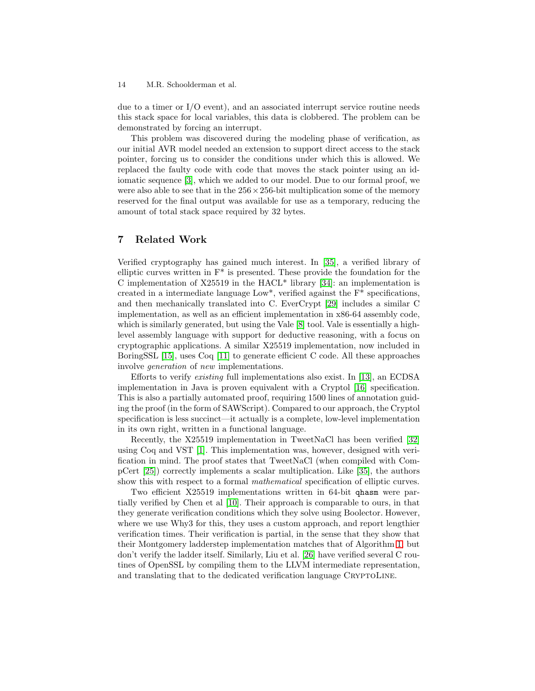due to a timer or I/O event), and an associated interrupt service routine needs this stack space for local variables, this data is clobbered. The problem can be demonstrated by forcing an interrupt.

This problem was discovered during the modeling phase of verification, as our initial AVR model needed an extension to support direct access to the stack pointer, forcing us to consider the conditions under which this is allowed. We replaced the faulty code with code that moves the stack pointer using an idiomatic sequence [\[3\]](#page-15-9), which we added to our model. Due to our formal proof, we were also able to see that in the  $256 \times 256$ -bit multiplication some of the memory reserved for the final output was available for use as a temporary, reducing the amount of total stack space required by 32 bytes.

# 7 Related Work

Verified cryptography has gained much interest. In [\[35\]](#page-17-0), a verified library of elliptic curves written in  $F^*$  is presented. These provide the foundation for the C implementation of X25519 in the HACL<sup>\*</sup> library [\[34\]](#page-17-1): an implementation is created in a intermediate language Low\*, verified against the  $F^*$  specifications, and then mechanically translated into C. EverCrypt [\[29\]](#page-16-12) includes a similar C implementation, as well as an efficient implementation in x86-64 assembly code, which is similarly generated, but using the Vale [\[8\]](#page-15-10) tool. Vale is essentially a highlevel assembly language with support for deductive reasoning, with a focus on cryptographic applications. A similar X25519 implementation, now included in BoringSSL [\[15\]](#page-15-11), uses Coq [\[11\]](#page-15-12) to generate efficient C code. All these approaches involve generation of new implementations.

Efforts to verify existing full implementations also exist. In [\[13\]](#page-15-13), an ECDSA implementation in Java is proven equivalent with a Cryptol [\[16\]](#page-15-14) specification. This is also a partially automated proof, requiring 1500 lines of annotation guiding the proof (in the form of SAWScript). Compared to our approach, the Cryptol specification is less succinct—it actually is a complete, low-level implementation in its own right, written in a functional language.

Recently, the X25519 implementation in TweetNaCl has been verified [\[32\]](#page-16-13) using Coq and VST [\[1\]](#page-15-3). This implementation was, however, designed with verification in mind. The proof states that TweetNaCl (when compiled with CompCert [\[25\]](#page-16-14)) correctly implements a scalar multiplication. Like [\[35\]](#page-17-0), the authors show this with respect to a formal mathematical specification of elliptic curves.

Two efficient X25519 implementations written in 64-bit qhasm were partially verified by Chen et al [\[10\]](#page-15-1). Their approach is comparable to ours, in that they generate verification conditions which they solve using Boolector. However, where we use Why3 for this, they uses a custom approach, and report lengthier verification times. Their verification is partial, in the sense that they show that their Montgomery ladderstep implementation matches that of Algorithm [1,](#page-4-0) but don't verify the ladder itself. Similarly, Liu et al. [\[26\]](#page-16-15) have verified several C routines of OpenSSL by compiling them to the LLVM intermediate representation, and translating that to the dedicated verification language CRYPTOLINE.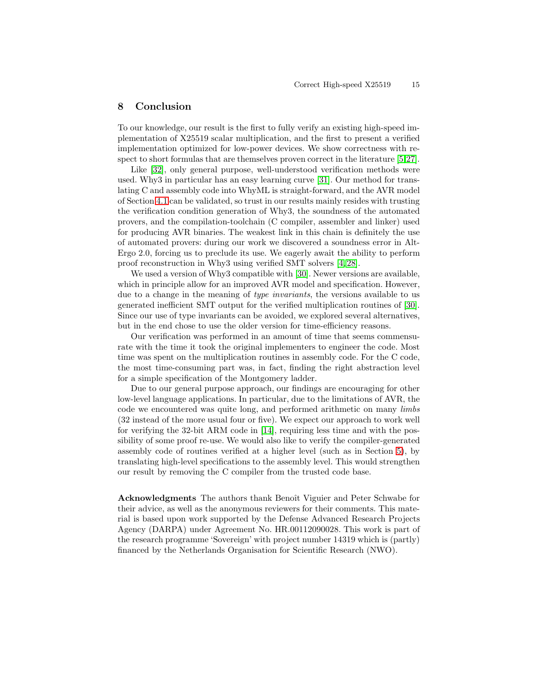### <span id="page-14-0"></span>8 Conclusion

To our knowledge, our result is the first to fully verify an existing high-speed implementation of X25519 scalar multiplication, and the first to present a verified implementation optimized for low-power devices. We show correctness with respect to short formulas that are themselves proven correct in the literature [\[5,](#page-15-6)[27\]](#page-16-3).

Like [\[32\]](#page-16-13), only general purpose, well-understood verification methods were used. Why3 in particular has an easy learning curve [\[31\]](#page-16-5). Our method for translating C and assembly code into WhyML is straight-forward, and the AVR model of Section [4.1](#page-6-0) can be validated, so trust in our results mainly resides with trusting the verification condition generation of Why3, the soundness of the automated provers, and the compilation-toolchain (C compiler, assembler and linker) used for producing AVR binaries. The weakest link in this chain is definitely the use of automated provers: during our work we discovered a soundness error in Alt-Ergo 2.0, forcing us to preclude its use. We eagerly await the ability to perform proof reconstruction in Why3 using verified SMT solvers [\[4,](#page-15-15) [28\]](#page-16-16).

We used a version of Why3 compatible with [\[30\]](#page-16-4). Newer versions are available, which in principle allow for an improved AVR model and specification. However, due to a change in the meaning of type invariants, the versions available to us generated inefficient SMT output for the verified multiplication routines of [\[30\]](#page-16-4). Since our use of type invariants can be avoided, we explored several alternatives, but in the end chose to use the older version for time-efficiency reasons.

Our verification was performed in an amount of time that seems commensurate with the time it took the original implementers to engineer the code. Most time was spent on the multiplication routines in assembly code. For the C code, the most time-consuming part was, in fact, finding the right abstraction level for a simple specification of the Montgomery ladder.

Due to our general purpose approach, our findings are encouraging for other low-level language applications. In particular, due to the limitations of AVR, the code we encountered was quite long, and performed arithmetic on many limbs (32 instead of the more usual four or five). We expect our approach to work well for verifying the 32-bit ARM code in [\[14\]](#page-15-4), requiring less time and with the possibility of some proof re-use. We would also like to verify the compiler-generated assembly code of routines verified at a higher level (such as in Section [5\)](#page-9-0), by translating high-level specifications to the assembly level. This would strengthen our result by removing the C compiler from the trusted code base.

Acknowledgments The authors thank Benoît Viguier and Peter Schwabe for their advice, as well as the anonymous reviewers for their comments. This material is based upon work supported by the Defense Advanced Research Projects Agency (DARPA) under Agreement No. HR.00112090028. This work is part of the research programme 'Sovereign' with project number 14319 which is (partly) financed by the Netherlands Organisation for Scientific Research (NWO).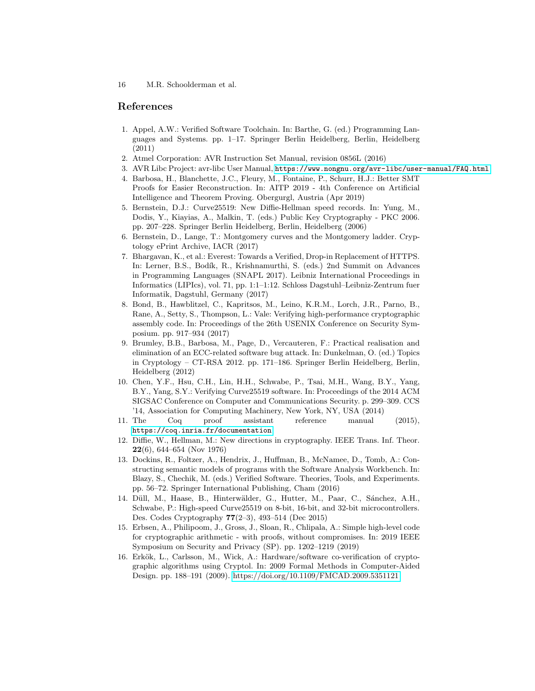# <span id="page-15-3"></span>References

- 1. Appel, A.W.: Verified Software Toolchain. In: Barthe, G. (ed.) Programming Languages and Systems. pp. 1–17. Springer Berlin Heidelberg, Berlin, Heidelberg (2011)
- <span id="page-15-9"></span><span id="page-15-5"></span>2. Atmel Corporation: AVR Instruction Set Manual, revision 0856L (2016)
- <span id="page-15-15"></span>3. AVR Libc Project: avr-libc User Manual, <https://www.nongnu.org/avr-libc/user-manual/FAQ.html>
- 4. Barbosa, H., Blanchette, J.C., Fleury, M., Fontaine, P., Schurr, H.J.: Better SMT Proofs for Easier Reconstruction. In: AITP 2019 - 4th Conference on Artificial Intelligence and Theorem Proving. Obergurgl, Austria (Apr 2019)
- <span id="page-15-6"></span>5. Bernstein, D.J.: Curve25519: New Diffie-Hellman speed records. In: Yung, M., Dodis, Y., Kiayias, A., Malkin, T. (eds.) Public Key Cryptography - PKC 2006. pp. 207–228. Springer Berlin Heidelberg, Berlin, Heidelberg (2006)
- <span id="page-15-8"></span><span id="page-15-2"></span>6. Bernstein, D., Lange, T.: Montgomery curves and the Montgomery ladder. Cryptology ePrint Archive, IACR (2017)
- 7. Bhargavan, K., et al.: Everest: Towards a Verified, Drop-in Replacement of HTTPS. In: Lerner, B.S., Bodík, R., Krishnamurthi, S. (eds.) 2nd Summit on Advances in Programming Languages (SNAPL 2017). Leibniz International Proceedings in Informatics (LIPIcs), vol. 71, pp. 1:1–1:12. Schloss Dagstuhl–Leibniz-Zentrum fuer Informatik, Dagstuhl, Germany (2017)
- <span id="page-15-10"></span>8. Bond, B., Hawblitzel, C., Kapritsos, M., Leino, K.R.M., Lorch, J.R., Parno, B., Rane, A., Setty, S., Thompson, L.: Vale: Verifying high-performance cryptographic assembly code. In: Proceedings of the 26th USENIX Conference on Security Symposium. pp. 917–934 (2017)
- <span id="page-15-0"></span>9. Brumley, B.B., Barbosa, M., Page, D., Vercauteren, F.: Practical realisation and elimination of an ECC-related software bug attack. In: Dunkelman, O. (ed.) Topics in Cryptology – CT-RSA 2012. pp. 171–186. Springer Berlin Heidelberg, Berlin, Heidelberg (2012)
- <span id="page-15-1"></span>10. Chen, Y.F., Hsu, C.H., Lin, H.H., Schwabe, P., Tsai, M.H., Wang, B.Y., Yang, B.Y., Yang, S.Y.: Verifying Curve25519 software. In: Proceedings of the 2014 ACM SIGSAC Conference on Computer and Communications Security. p. 299–309. CCS '14, Association for Computing Machinery, New York, NY, USA (2014)
- <span id="page-15-12"></span>11. The Coq proof assistant reference manual (2015), <https://coq.inria.fr/documentation>
- <span id="page-15-7"></span>12. Diffie, W., Hellman, M.: New directions in cryptography. IEEE Trans. Inf. Theor. 22(6), 644–654 (Nov 1976)
- <span id="page-15-13"></span>13. Dockins, R., Foltzer, A., Hendrix, J., Huffman, B., McNamee, D., Tomb, A.: Constructing semantic models of programs with the Software Analysis Workbench. In: Blazy, S., Chechik, M. (eds.) Verified Software. Theories, Tools, and Experiments. pp. 56–72. Springer International Publishing, Cham (2016)
- <span id="page-15-4"></span>14. Düll, M., Haase, B., Hinterwälder, G., Hutter, M., Paar, C., Sánchez, A.H., Schwabe, P.: High-speed Curve25519 on 8-bit, 16-bit, and 32-bit microcontrollers. Des. Codes Cryptography 77(2–3), 493–514 (Dec 2015)
- <span id="page-15-11"></span>15. Erbsen, A., Philipoom, J., Gross, J., Sloan, R., Chlipala, A.: Simple high-level code for cryptographic arithmetic - with proofs, without compromises. In: 2019 IEEE Symposium on Security and Privacy (SP). pp. 1202–1219 (2019)
- <span id="page-15-14"></span>16. Erkök, L., Carlsson, M., Wick, A.: Hardware/software co-verification of cryptographic algorithms using Cryptol. In: 2009 Formal Methods in Computer-Aided Design. pp. 188–191 (2009).<https://doi.org/10.1109/FMCAD.2009.5351121>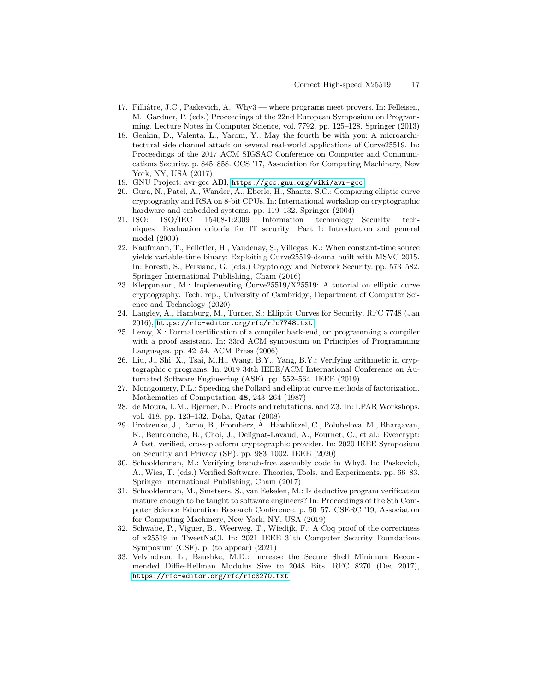- <span id="page-16-2"></span>17. Filliâtre, J.C., Paskevich, A.: Why3 — where programs meet provers. In: Felleisen, M., Gardner, P. (eds.) Proceedings of the 22nd European Symposium on Programming. Lecture Notes in Computer Science, vol. 7792, pp. 125–128. Springer (2013)
- <span id="page-16-9"></span>18. Genkin, D., Valenta, L., Yarom, Y.: May the fourth be with you: A microarchitectural side channel attack on several real-world applications of Curve25519. In: Proceedings of the 2017 ACM SIGSAC Conference on Computer and Communications Security. p. 845–858. CCS '17, Association for Computing Machinery, New York, NY, USA (2017)
- <span id="page-16-11"></span><span id="page-16-8"></span>19. GNU Project: avr-gcc ABI, <https://gcc.gnu.org/wiki/avr-gcc>
- 20. Gura, N., Patel, A., Wander, A., Eberle, H., Shantz, S.C.: Comparing elliptic curve cryptography and RSA on 8-bit CPUs. In: International workshop on cryptographic hardware and embedded systems. pp. 119–132. Springer (2004)
- <span id="page-16-0"></span>21. ISO: ISO/IEC 15408-1:2009 Information technology—Security techniques—Evaluation criteria for IT security—Part 1: Introduction and general model (2009)
- <span id="page-16-1"></span>22. Kaufmann, T., Pelletier, H., Vaudenay, S., Villegas, K.: When constant-time source yields variable-time binary: Exploiting Curve25519-donna built with MSVC 2015. In: Foresti, S., Persiano, G. (eds.) Cryptology and Network Security. pp. 573–582. Springer International Publishing, Cham (2016)
- <span id="page-16-10"></span>23. Kleppmann, M.: Implementing Curve25519/X25519: A tutorial on elliptic curve cryptography. Tech. rep., University of Cambridge, Department of Computer Science and Technology (2020)
- <span id="page-16-6"></span>24. Langley, A., Hamburg, M., Turner, S.: Elliptic Curves for Security. RFC 7748 (Jan 2016), <https://rfc-editor.org/rfc/rfc7748.txt>
- <span id="page-16-14"></span>25. Leroy, X.: Formal certification of a compiler back-end, or: programming a compiler with a proof assistant. In: 33rd ACM symposium on Principles of Programming Languages. pp. 42–54. ACM Press (2006)
- <span id="page-16-15"></span>26. Liu, J., Shi, X., Tsai, M.H., Wang, B.Y., Yang, B.Y.: Verifying arithmetic in cryptographic c programs. In: 2019 34th IEEE/ACM International Conference on Automated Software Engineering (ASE). pp. 552–564. IEEE (2019)
- <span id="page-16-3"></span>27. Montgomery, P.L.: Speeding the Pollard and elliptic curve methods of factorization. Mathematics of Computation 48, 243–264 (1987)
- <span id="page-16-16"></span>28. de Moura, L.M., Bjørner, N.: Proofs and refutations, and Z3. In: LPAR Workshops. vol. 418, pp. 123–132. Doha, Qatar (2008)
- <span id="page-16-12"></span>29. Protzenko, J., Parno, B., Fromherz, A., Hawblitzel, C., Polubelova, M., Bhargavan, K., Beurdouche, B., Choi, J., Delignat-Lavaud, A., Fournet, C., et al.: Evercrypt: A fast, verified, cross-platform cryptographic provider. In: 2020 IEEE Symposium on Security and Privacy (SP). pp. 983–1002. IEEE (2020)
- <span id="page-16-4"></span>30. Schoolderman, M.: Verifying branch-free assembly code in Why3. In: Paskevich, A., Wies, T. (eds.) Verified Software. Theories, Tools, and Experiments. pp. 66–83. Springer International Publishing, Cham (2017)
- <span id="page-16-5"></span>31. Schoolderman, M., Smetsers, S., van Eekelen, M.: Is deductive program verification mature enough to be taught to software engineers? In: Proceedings of the 8th Computer Science Education Research Conference. p. 50–57. CSERC '19, Association for Computing Machinery, New York, NY, USA (2019)
- <span id="page-16-13"></span>32. Schwabe, P., Viguer, B., Weerweg, T., Wiedijk, F.: A Coq proof of the correctness of x25519 in TweetNaCl. In: 2021 IEEE 31th Computer Security Foundations Symposium (CSF). p. (to appear) (2021)
- <span id="page-16-7"></span>33. Velvindron, L., Baushke, M.D.: Increase the Secure Shell Minimum Recommended Diffie-Hellman Modulus Size to 2048 Bits. RFC 8270 (Dec 2017), <https://rfc-editor.org/rfc/rfc8270.txt>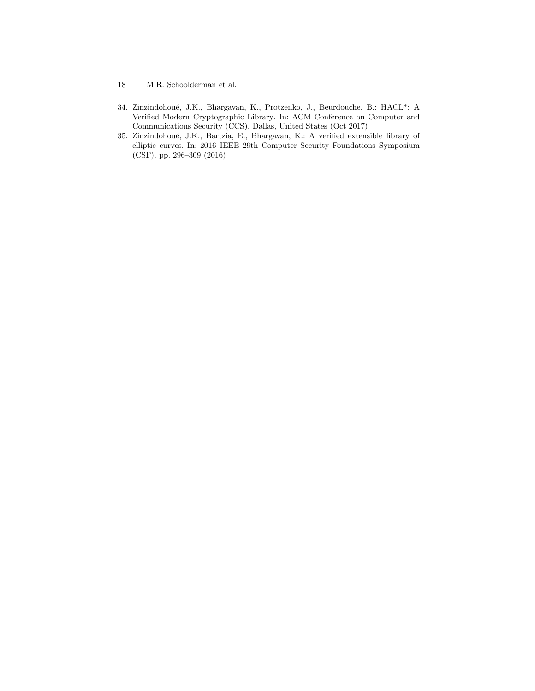- 18 M.R. Schoolderman et al.
- <span id="page-17-1"></span>34. Zinzindohoué, J.K., Bhargavan, K., Protzenko, J., Beurdouche, B.: HACL\*: A Verified Modern Cryptographic Library. In: ACM Conference on Computer and Communications Security (CCS). Dallas, United States (Oct 2017)
- <span id="page-17-0"></span>35. Zinzindohoué, J.K., Bartzia, E., Bhargavan, K.: A verified extensible library of elliptic curves. In: 2016 IEEE 29th Computer Security Foundations Symposium (CSF). pp. 296–309 (2016)